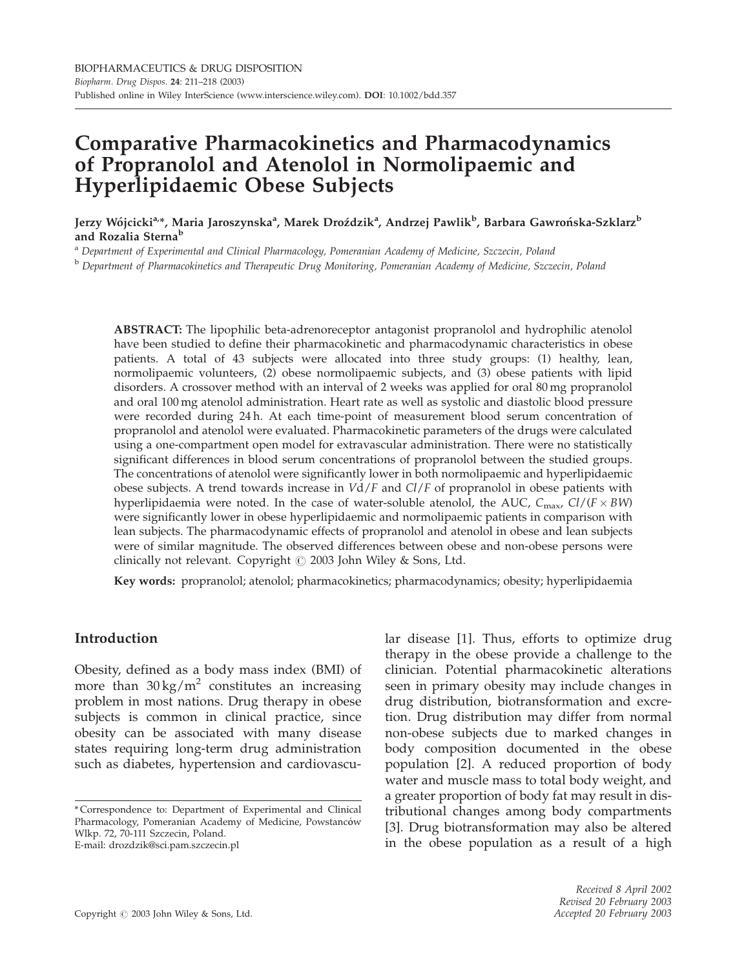# Comparative Pharmacokinetics and Pharmacodynamics of Propranolol and Atenolol in Normolipaemic and Hyperlipidaemic Obese Subjects

Jerzy Wójcicki<sup>a,</sup>\*, Maria Jaroszynska<sup>a</sup>, Marek Droździk<sup>a</sup>, Andrzej Pawlik<sup>b</sup>, Barbara Gawrońska-Szklarz<sup>b</sup> and Rozalia Sterna<sup>b</sup>

a Department of Experimental and Clinical Pharmacology, Pomeranian Academy of Medicine, Szczecin, Poland

<sup>b</sup> Department of Pharmacokinetics and Therapeutic Drug Monitoring, Pomeranian Academy of Medicine, Szczecin, Poland

ABSTRACT: The lipophilic beta-adrenoreceptor antagonist propranolol and hydrophilic atenolol have been studied to define their pharmacokinetic and pharmacodynamic characteristics in obese patients. A total of 43 subjects were allocated into three study groups: (1) healthy, lean, normolipaemic volunteers, (2) obese normolipaemic subjects, and (3) obese patients with lipid disorders. A crossover method with an interval of 2 weeks was applied for oral 80 mg propranolol and oral 100 mg atenolol administration. Heart rate as well as systolic and diastolic blood pressure were recorded during 24 h. At each time-point of measurement blood serum concentration of propranolol and atenolol were evaluated. Pharmacokinetic parameters of the drugs were calculated using a one-compartment open model for extravascular administration. There were no statistically significant differences in blood serum concentrations of propranolol between the studied groups. The concentrations of atenolol were significantly lower in both normolipaemic and hyperlipidaemic obese subjects. A trend towards increase in  $Vd/F$  and  $Cl/F$  of propranolol in obese patients with hyperlipidaemia were noted. In the case of water-soluble atenolol, the AUC,  $C_{\text{max}}$ , Cl/(F  $\times$  BW) were significantly lower in obese hyperlipidaemic and normolipaemic patients in comparison with lean subjects. The pharmacodynamic effects of propranolol and atenolol in obese and lean subjects were of similar magnitude. The observed differences between obese and non-obese persons were clinically not relevant. Copyright  $\odot$  2003 John Wiley & Sons, Ltd.

Key words: propranolol; atenolol; pharmacokinetics; pharmacodynamics; obesity; hyperlipidaemia

#### Introduction

Obesity, defined as a body mass index (BMI) of more than  $30 \text{ kg/m}^2$  constitutes an increasing problem in most nations. Drug therapy in obese subjects is common in clinical practice, since obesity can be associated with many disease states requiring long-term drug administration such as diabetes, hypertension and cardiovascular disease [1]. Thus, efforts to optimize drug therapy in the obese provide a challenge to the clinician. Potential pharmacokinetic alterations seen in primary obesity may include changes in drug distribution, biotransformation and excretion. Drug distribution may differ from normal non-obese subjects due to marked changes in body composition documented in the obese population [2]. A reduced proportion of body water and muscle mass to total body weight, and a greater proportion of body fat may result in distributional changes among body compartments [3]. Drug biotransformation may also be altered in the obese population as a result of a high

<sup>\*</sup> Correspondence to: Department of Experimental and Clinical Pharmacology, Pomeranian Academy of Medicine, Powstanców Wlkp. 72, 70-111 Szczecin, Poland. E-mail: drozdzik@sci.pam.szczecin.pl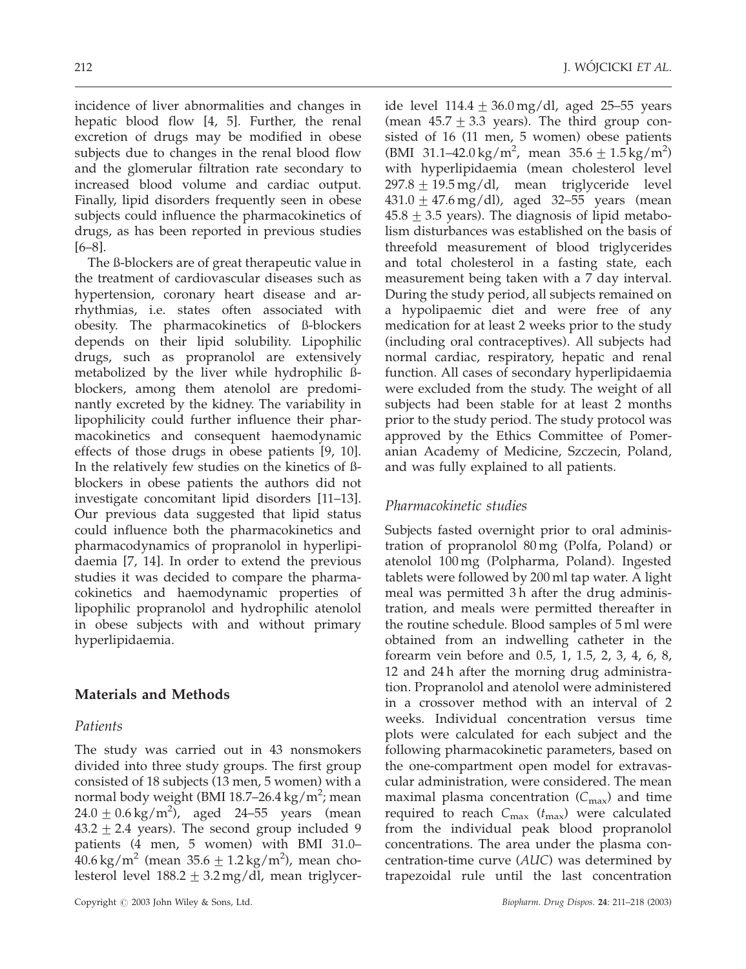incidence of liver abnormalities and changes in hepatic blood flow [4, 5]. Further, the renal excretion of drugs may be modified in obese subjects due to changes in the renal blood flow and the glomerular filtration rate secondary to increased blood volume and cardiac output. Finally, lipid disorders frequently seen in obese subjects could influence the pharmacokinetics of drugs, as has been reported in previous studies [6–8].

The B-blockers are of great therapeutic value in the treatment of cardiovascular diseases such as hypertension, coronary heart disease and arrhythmias, i.e. states often associated with obesity. The pharmacokinetics of B-blockers depends on their lipid solubility. Lipophilic drugs, such as propranolol are extensively metabolized by the liver while hydrophilic ßblockers, among them atenolol are predominantly excreted by the kidney. The variability in lipophilicity could further influence their pharmacokinetics and consequent haemodynamic effects of those drugs in obese patients [9, 10]. In the relatively few studies on the kinetics of  $\beta$ blockers in obese patients the authors did not investigate concomitant lipid disorders [11–13]. Our previous data suggested that lipid status could influence both the pharmacokinetics and pharmacodynamics of propranolol in hyperlipidaemia [7, 14]. In order to extend the previous studies it was decided to compare the pharmacokinetics and haemodynamic properties of lipophilic propranolol and hydrophilic atenolol in obese subjects with and without primary hyperlipidaemia.

## Materials and Methods

## Patients

The study was carried out in 43 nonsmokers divided into three study groups. The first group consisted of 18 subjects (13 men, 5 women) with a normal body weight (BMI 18.7–26.4 kg/m<sup>2</sup>; mean  $24.0 \pm 0.6 \,\mathrm{kg/m^2}$ , aged 24–55 years (mean  $43.2 \pm 2.4$  years). The second group included 9 patients (4 men, 5 women) with BMI 31.0–  $40.6\,\mathrm{kg/m^2}$  (mean 35.6  $\pm$  1.2 kg/m<sup>2</sup>), mean cholesterol level  $188.2 \pm 3.2 \,\mathrm{mg}/\mathrm{dl}$ , mean triglycer-

ide level 114.4  $\pm$  36.0 mg/dl, aged 25–55 years (mean  $45.7 \pm 3.3$  years). The third group consisted of 16 (11 men, 5 women) obese patients (BMI 31.1–42.0 kg/m<sup>2</sup>, mean  $35.6 \pm 1.5$  kg/m<sup>2</sup>) with hyperlipidaemia (mean cholesterol level  $297.8 \pm 19.5 \,\text{mg}/\text{dl}$ , mean triglyceride level  $431.0 \pm 47.6 \,\text{mg/dl}$ , aged  $32 - 55 \,\text{years}$  (mean  $45.8 \pm 3.5$  years). The diagnosis of lipid metabolism disturbances was established on the basis of threefold measurement of blood triglycerides and total cholesterol in a fasting state, each measurement being taken with a 7 day interval. During the study period, all subjects remained on a hypolipaemic diet and were free of any medication for at least 2 weeks prior to the study (including oral contraceptives). All subjects had normal cardiac, respiratory, hepatic and renal function. All cases of secondary hyperlipidaemia were excluded from the study. The weight of all subjects had been stable for at least 2 months prior to the study period. The study protocol was approved by the Ethics Committee of Pomeranian Academy of Medicine, Szczecin, Poland, and was fully explained to all patients.

## Pharmacokinetic studies

Subjects fasted overnight prior to oral administration of propranolol 80 mg (Polfa, Poland) or atenolol 100 mg (Polpharma, Poland). Ingested tablets were followed by 200 ml tap water. A light meal was permitted 3 h after the drug administration, and meals were permitted thereafter in the routine schedule. Blood samples of 5 ml were obtained from an indwelling catheter in the forearm vein before and 0.5, 1, 1.5, 2, 3, 4, 6, 8, 12 and 24 h after the morning drug administration. Propranolol and atenolol were administered in a crossover method with an interval of 2 weeks. Individual concentration versus time plots were calculated for each subject and the following pharmacokinetic parameters, based on the one-compartment open model for extravascular administration, were considered. The mean maximal plasma concentration  $(C_{\text{max}})$  and time required to reach  $C_{\text{max}}$  ( $t_{\text{max}}$ ) were calculated from the individual peak blood propranolol concentrations. The area under the plasma concentration-time curve (AUC) was determined by trapezoidal rule until the last concentration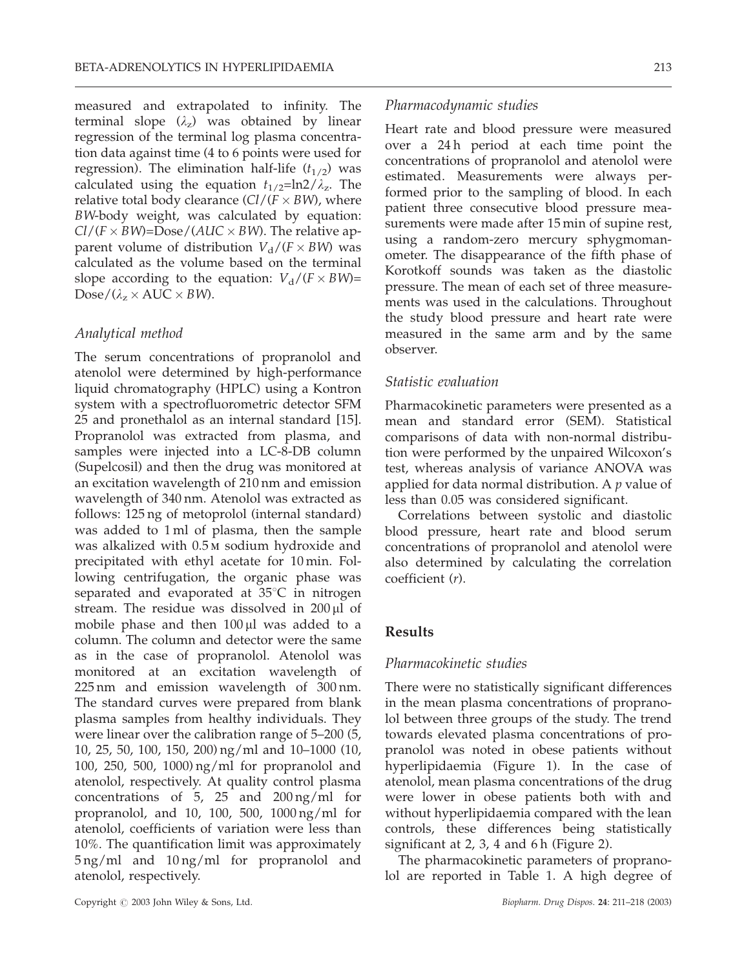measured and extrapolated to infinity. The terminal slope  $(\lambda_z)$  was obtained by linear regression of the terminal log plasma concentration data against time (4 to 6 points were used for regression). The elimination half-life  $(t_{1/2})$  was calculated using the equation  $t_{1/2}=ln2/\lambda_z$ . The relative total body clearance  $(Cl/(F \times BW)$ , where BW-body weight, was calculated by equation:  $Cl/(F \times BW)$ =Dose/(AUC  $\times BW$ ). The relative apparent volume of distribution  $V_d/(F \times BW)$  was calculated as the volume based on the terminal slope according to the equation:  $V_d/(F \times BW)$ =  $Dose/(\lambda_z \times AUC \times BW)$ .

### Analytical method

The serum concentrations of propranolol and atenolol were determined by high-performance liquid chromatography (HPLC) using a Kontron system with a spectrofluorometric detector SFM 25 and pronethalol as an internal standard [15]. Propranolol was extracted from plasma, and samples were injected into a LC-8-DB column (Supelcosil) and then the drug was monitored at an excitation wavelength of 210 nm and emission wavelength of 340 nm. Atenolol was extracted as follows: 125 ng of metoprolol (internal standard) was added to 1 ml of plasma, then the sample was alkalized with 0.5 m sodium hydroxide and precipitated with ethyl acetate for 10 min. Following centrifugation, the organic phase was separated and evaporated at  $35^{\circ}$ C in nitrogen stream. The residue was dissolved in  $200 \mu l$  of mobile phase and then  $100 \mu l$  was added to a column. The column and detector were the same as in the case of propranolol. Atenolol was monitored at an excitation wavelength of 225 nm and emission wavelength of 300 nm. The standard curves were prepared from blank plasma samples from healthy individuals. They were linear over the calibration range of 5–200 (5, 10, 25, 50, 100, 150, 200) ng/ml and 10–1000 (10, 100, 250, 500, 1000) ng/ml for propranolol and atenolol, respectively. At quality control plasma concentrations of 5, 25 and 200 ng/ml for propranolol, and 10, 100, 500, 1000 ng/ml for atenolol, coefficients of variation were less than 10%. The quantification limit was approximately 5 ng/ml and 10 ng/ml for propranolol and atenolol, respectively.

#### Pharmacodynamic studies

Heart rate and blood pressure were measured over a 24 h period at each time point the concentrations of propranolol and atenolol were estimated. Measurements were always performed prior to the sampling of blood. In each patient three consecutive blood pressure measurements were made after 15 min of supine rest, using a random-zero mercury sphygmomanometer. The disappearance of the fifth phase of Korotkoff sounds was taken as the diastolic pressure. The mean of each set of three measurements was used in the calculations. Throughout the study blood pressure and heart rate were measured in the same arm and by the same observer.

#### Statistic evaluation

Pharmacokinetic parameters were presented as a mean and standard error (SEM). Statistical comparisons of data with non-normal distribution were performed by the unpaired Wilcoxon's test, whereas analysis of variance ANOVA was applied for data normal distribution. A  $p$  value of less than 0.05 was considered significant.

Correlations between systolic and diastolic blood pressure, heart rate and blood serum concentrations of propranolol and atenolol were also determined by calculating the correlation coefficient (r).

### Results

#### Pharmacokinetic studies

There were no statistically significant differences in the mean plasma concentrations of propranolol between three groups of the study. The trend towards elevated plasma concentrations of propranolol was noted in obese patients without hyperlipidaemia (Figure 1). In the case of atenolol, mean plasma concentrations of the drug were lower in obese patients both with and without hyperlipidaemia compared with the lean controls, these differences being statistically significant at 2, 3, 4 and 6 h (Figure 2).

The pharmacokinetic parameters of propranolol are reported in Table 1. A high degree of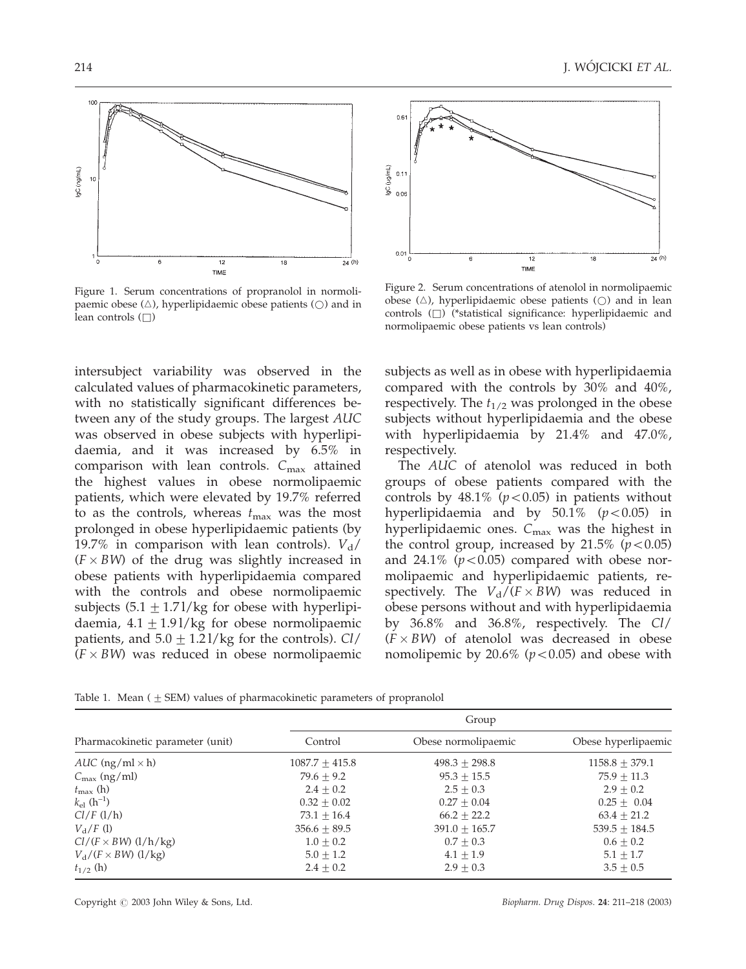

Figure 1. Serum concentrations of propranolol in normolipaemic obese  $(\triangle)$ , hyperlipidaemic obese patients  $(\bigcirc)$  and in lean controls  $(\Box)$ 

intersubject variability was observed in the calculated values of pharmacokinetic parameters, with no statistically significant differences between any of the study groups. The largest AUC was observed in obese subjects with hyperlipidaemia, and it was increased by 6.5% in comparison with lean controls.  $C_{\text{max}}$  attained the highest values in obese normolipaemic patients, which were elevated by 19.7% referred to as the controls, whereas  $t_{\text{max}}$  was the most prolonged in obese hyperlipidaemic patients (by 19.7% in comparison with lean controls).  $V_d/$  $(F \times BW)$  of the drug was slightly increased in obese patients with hyperlipidaemia compared with the controls and obese normolipaemic subjects  $(5.1 \pm 1.71/kg$  for obese with hyperlipidaemia,  $4.1 \pm 1.91/kg$  for obese normolipaemic patients, and  $5.0 \pm 1.21/kg$  for the controls). Cl/  $(F \times BW)$  was reduced in obese normolipaemic



Figure 2. Serum concentrations of atenolol in normolipaemic obese  $(\triangle)$ , hyperlipidaemic obese patients  $(\bigcirc)$  and in lean controls ( $\Box$ ) (\*statistical significance: hyperlipidaemic and normolipaemic obese patients vs lean controls)

subjects as well as in obese with hyperlipidaemia compared with the controls by 30% and 40%, respectively. The  $t_{1/2}$  was prolonged in the obese subjects without hyperlipidaemia and the obese with hyperlipidaemia by 21.4% and 47.0%, respectively.

The AUC of atenolol was reduced in both groups of obese patients compared with the controls by  $48.1\%$  ( $p<0.05$ ) in patients without hyperlipidaemia and by  $50.1\%$  ( $p<0.05$ ) in hyperlipidaemic ones.  $C_{\text{max}}$  was the highest in the control group, increased by 21.5% ( $p<0.05$ ) and 24.1% ( $p<0.05$ ) compared with obese normolipaemic and hyperlipidaemic patients, respectively. The  $V_d/(F \times BW)$  was reduced in obese persons without and with hyperlipidaemia by 36.8% and 36.8%, respectively. The Cl/  $(F \times BW)$  of atenolol was decreased in obese nomolipemic by 20.6% ( $p<0.05$ ) and obese with

Table 1. Mean  $($   $\pm$  SEM) values of pharmacokinetic parameters of propranolol

|                                  | Group            |                     |                     |  |  |  |
|----------------------------------|------------------|---------------------|---------------------|--|--|--|
| Pharmacokinetic parameter (unit) | Control          | Obese normolipaemic | Obese hyperlipaemic |  |  |  |
| AUC $(ng/ml \times h)$           | $1087.7 + 415.8$ | $498.3 + 298.8$     | $1158.8 + 379.1$    |  |  |  |
| $C_{\text{max}}$ (ng/ml)         | $79.6 + 9.2$     | $95.3 + 15.5$       | $75.9 + 11.3$       |  |  |  |
| $t_{\text{max}}$ (h)             | $2.4 + 0.2$      | $2.5 + 0.3$         | $2.9 + 0.2$         |  |  |  |
| $k_{\rm el}$ (h <sup>-1</sup> )  | $0.32 + 0.02$    | $0.27 + 0.04$       | $0.25 + 0.04$       |  |  |  |
| Cl/F (l/h)                       | $73.1 + 16.4$    | $66.2 + 22.2$       | $63.4 + 21.2$       |  |  |  |
| $V_d/F$ (1)                      | $356.6 + 89.5$   | $391.0 + 165.7$     | $539.5 + 184.5$     |  |  |  |
| $Cl/(F \times BW)$ (1/h/kg)      | $1.0 + 0.2$      | $0.7 + 0.3$         | $0.6 + 0.2$         |  |  |  |
| $V_d/(F \times BW)$ (1/kg)       | $5.0 + 1.2$      | $4.1 + 1.9$         | $5.1 + 1.7$         |  |  |  |
| $t_{1/2}$ (h)                    | $2.4 + 0.2$      | $2.9 + 0.3$         | $3.5 + 0.5$         |  |  |  |

Copyright  $\odot$  2003 John Wiley & Sons, Ltd. Biopharm. Drug Dispos. 24: 211-218 (2003)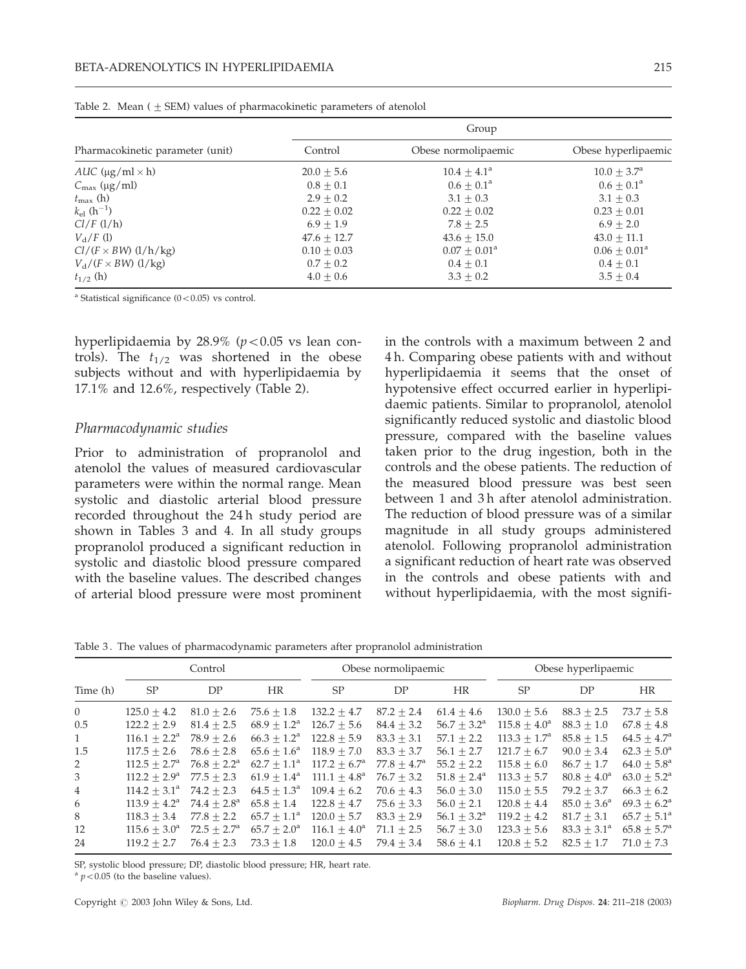|                                  | Group         |                          |                      |  |  |  |  |
|----------------------------------|---------------|--------------------------|----------------------|--|--|--|--|
| Pharmacokinetic parameter (unit) | Control       | Obese normolipaemic      | Obese hyperlipaemic  |  |  |  |  |
| AUC ( $\mu$ g/ml $\times$ h)     | $20.0 + 5.6$  | $10.4 + 4.1^{\circ}$     | $10.0 + 3.7^{\rm a}$ |  |  |  |  |
| $C_{\text{max}}$ (µg/ml)         | $0.8 + 0.1$   | $0.6 + 0.1^a$            | $0.6 + 0.1^a$        |  |  |  |  |
| $t_{\text{max}}$ (h)             | $2.9 + 0.2$   | $3.1 + 0.3$              | $3.1 + 0.3$          |  |  |  |  |
| $k_{\rm el}$ (h <sup>-1</sup> )  | $0.22 + 0.02$ | $0.22 \pm 0.02$          | $0.23 + 0.01$        |  |  |  |  |
| Cl/F (l/h)                       | $6.9 + 1.9$   | $7.8 + 2.5$              | $6.9 + 2.0$          |  |  |  |  |
| $V_d/F$ (1)                      | $47.6 + 12.7$ | $43.6 + 15.0$            | $43.0 + 11.1$        |  |  |  |  |
| $Cl/(F \times BW)$ (l/h/kg)      | $0.10 + 0.03$ | $0.07 + 0.01^{\text{a}}$ | $0.06 + 0.01^a$      |  |  |  |  |
| $V_d/(F \times BW)$ (1/kg)       | $0.7 \pm 0.2$ | $0.4 + 0.1$              | $0.4 \pm 0.1$        |  |  |  |  |
| $t_{1/2}$ (h)                    | $4.0 + 0.6$   | $3.3 + 0.2$              | $3.5 + 0.4$          |  |  |  |  |

Table 2. Mean  $($   $\pm$  SEM) values of pharmacokinetic parameters of atenolol

<sup>a</sup> Statistical significance  $(0<0.05)$  vs control.

hyperlipidaemia by 28.9% ( $p<0.05$  vs lean controls). The  $t_{1/2}$  was shortened in the obese subjects without and with hyperlipidaemia by 17.1% and 12.6%, respectively (Table 2).

#### Pharmacodynamic studies

Prior to administration of propranolol and atenolol the values of measured cardiovascular parameters were within the normal range. Mean systolic and diastolic arterial blood pressure recorded throughout the 24 h study period are shown in Tables 3 and 4. In all study groups propranolol produced a significant reduction in systolic and diastolic blood pressure compared with the baseline values. The described changes of arterial blood pressure were most prominent in the controls with a maximum between 2 and 4 h. Comparing obese patients with and without hyperlipidaemia it seems that the onset of hypotensive effect occurred earlier in hyperlipidaemic patients. Similar to propranolol, atenolol significantly reduced systolic and diastolic blood pressure, compared with the baseline values taken prior to the drug ingestion, both in the controls and the obese patients. The reduction of the measured blood pressure was best seen between 1 and 3 h after atenolol administration. The reduction of blood pressure was of a similar magnitude in all study groups administered atenolol. Following propranolol administration a significant reduction of heart rate was observed in the controls and obese patients with and without hyperlipidaemia, with the most signifi-

Table 3 . The values of pharmacodynamic parameters after propranolol administration

|                | Control               |                      |                      | Obese normolipaemic   |                      |                      | Obese hyperlipaemic |                      |                      |
|----------------|-----------------------|----------------------|----------------------|-----------------------|----------------------|----------------------|---------------------|----------------------|----------------------|
| Time (h)       | SP                    | DP                   | HR                   | SP                    | DP                   | <b>HR</b>            | SP                  | DP                   | <b>HR</b>            |
| $\Omega$       | $125.0 + 4.2$         | $81.0 + 2.6$         | $75.6 + 1.8$         | $132.2 + 4.7$         | $87.2 + 2.4$         | $61.4 + 4.6$         | $130.0 + 5.6$       | $88.3 + 2.5$         | $73.7 + 5.8$         |
| 0.5            | $122.2 + 2.9$         | $81.4 + 2.5$         | $68.9 + 1.2^{\rm a}$ | $126.7 + 5.6$         | $84.4 + 3.2$         | $56.7 + 3.2^{\rm a}$ | $115.8 + 4.0^a$     | $88.3 + 1.0$         | $67.8 + 4.8$         |
| $\mathbf{1}$   | $116.1 + 2.2^{\circ}$ | $78.9 + 2.6$         | $66.3 + 1.2^{\rm a}$ | $122.8 + 5.9$         | $83.3 + 3.1$         | $57.1 + 2.2$         | $113.3 + 1.7a$      | $85.8 + 1.5$         | $64.5 + 4.7^{\circ}$ |
| 1.5            | $117.5 + 2.6$         | $78.6 + 2.8$         | $65.6 + 1.6^a$       | $118.9 + 7.0$         | $83.3 + 3.7$         | $56.1 \pm 2.7$       | $121.7 + 6.7$       | $90.0 + 3.4$         | $62.3 + 5.0^a$       |
| 2              | $112.5 + 2.7^{\circ}$ | $76.8 + 2.2^{\rm a}$ | $62.7 + 1.1^{\circ}$ | $117.2 + 6.7^{\rm a}$ | $77.8 + 4.7^{\rm a}$ | $55.2 + 2.2$         | $115.8 + 6.0$       | $86.7 + 1.7$         | $64.0 + 5.8^{\circ}$ |
| 3              | $112.2 + 2.9^{\rm a}$ | $77.5 + 2.3$         | $61.9 + 1.4^a$       | $111.1 + 4.8^a$       | $76.7 + 3.2$         | $51.8 + 2.4^{\circ}$ | $113.3 + 5.7$       | $80.8 + 4.0^{\circ}$ | $63.0 + 5.2^{\rm a}$ |
| $\overline{4}$ | $114.2 + 3.1^{\circ}$ | $74.2 + 2.3$         | $64.5 + 1.3a$        | $109.4 + 6.2$         | $70.6 + 4.3$         | $56.0 + 3.0$         | $115.0 + 5.5$       | $79.2 + 3.7$         | $66.3 + 6.2$         |
| 6              | $113.9 + 4.2^{\circ}$ | $74.4 + 2.8^{\circ}$ | $65.8 + 1.4$         | $122.8 + 4.7$         | $75.6 + 3.3$         | $56.0 + 2.1$         | $120.8 + 4.4$       | $85.0 + 3.6^{\circ}$ | $69.3 + 6.2^{\rm a}$ |
| 8              | $118.3 + 3.4$         | $77.8 + 2.2$         | $65.7 + 1.1^{\circ}$ | $120.0 \pm 5.7$       | $83.3 + 2.9$         | $56.1 + 3.2^{\rm a}$ | $119.2 + 4.2$       | $81.7 + 3.1$         | $65.7 + 5.1^a$       |
| 12             | $115.6 + 3.0^{\circ}$ | $72.5 + 2.7^{\circ}$ | $65.7 + 2.0^{\circ}$ | $116.1 + 4.0^a$       | $71.1 + 2.5$         | $56.7 + 3.0$         | $123.3 + 5.6$       | $83.3 + 3.1^{\circ}$ | $65.8 + 5.7^{\circ}$ |
| 24             | $119.2 + 2.7$         | $76.4 + 2.3$         | $73.3 + 1.8$         | $120.0 + 4.5$         | $79.4 + 3.4$         | $58.6 + 4.1$         | $120.8 + 5.2$       | $82.5 + 1.7$         | $71.0 + 7.3$         |

SP, systolic blood pressure; DP, diastolic blood pressure; HR, heart rate.

 $a<sub>p</sub>$   $\lt$  0.05 (to the baseline values).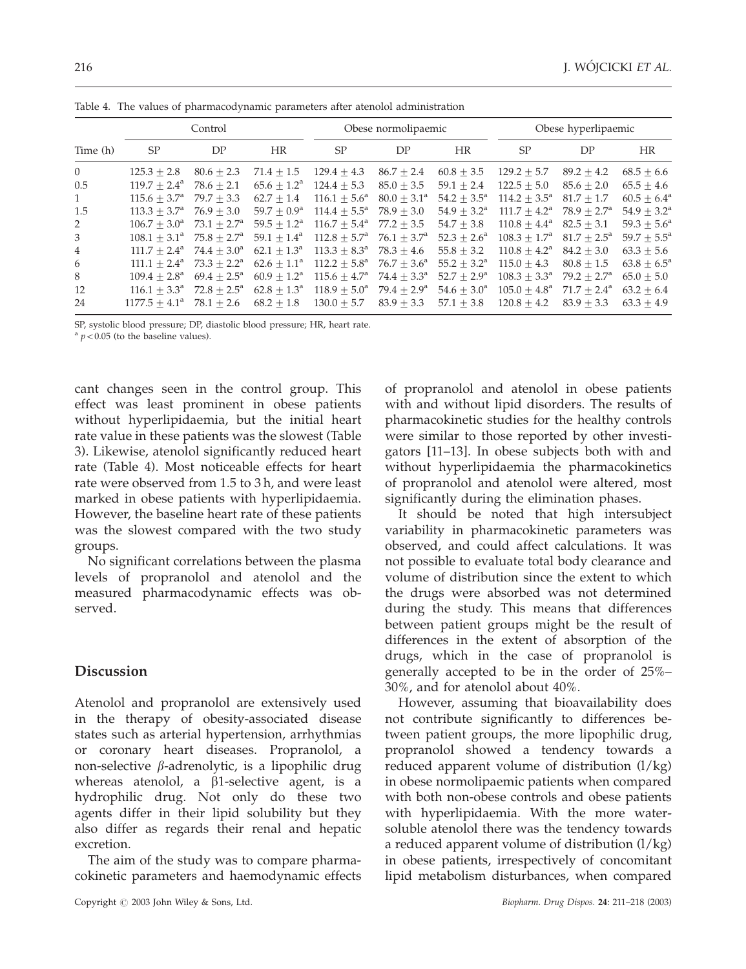|                | Control                  |                             |                      | Obese normolipaemic      |                        |                      | Obese hyperlipaemic      |                             |                           |
|----------------|--------------------------|-----------------------------|----------------------|--------------------------|------------------------|----------------------|--------------------------|-----------------------------|---------------------------|
| Time (h)       | SP                       | DP                          | <b>HR</b>            | SP.                      | DP                     | HR                   | SP                       | DP                          | HR                        |
| $\theta$       | $125.3 + 2.8$            | $80.6 + 2.3$                | $71.4 + 1.5$         | $129.4 + 4.3$            | $86.7 + 2.4$           | $60.8 + 3.5$         | $129.2 + 5.7$            | $89.2 + 4.2$                | $68.5 + 6.6$              |
| 0.5            | $119.7 + 2.4^{\circ}$    | $78.6 + 2.1$                | $65.6 + 1.2^{\rm a}$ | $124.4 + 5.3$            | $85.0 + 3.5$           | $59.1 + 2.4$         | $122.5 + 5.0$            | $85.6 + 2.0$                | $65.5 + 4.6$              |
| $\mathbf{1}$   | $115.6 \pm 3.7^{\circ}$  | $79.7 + 3.3$                | $62.7 + 1.4$         | $116.1 + 5.6^{\circ}$    | $80.0 + 3.1^{\circ}$   | $54.2 + 3.5^{\circ}$ | $114.2 \pm 3.5^{\circ}$  | $81.7 + 1.7$                | $60.5 + 6.4^{\rm a}$      |
| 1.5            | $113.3 + 3.7^{\circ}$    | $76.9 + 3.0$                | $59.7 + 0.9^{\rm a}$ | $114.4 + 5.5^{\circ}$    | $78.9 + 3.0$           | $54.9 + 3.2^{\circ}$ | $111.7 + 4.2^{\circ}$    | $78.9 + 2.7^{\rm a}$        | $54.9 + 3.2^{\rm a}$      |
| 2              | $106.7 + 3.0^{\circ}$    | 73.1 $\pm$ 2.7 <sup>a</sup> | $59.5 + 1.2^a$       | $116.7 + 5.4^{\text{a}}$ | $77.2 + 3.5$           | $54.7 + 3.8$         | $110.8 + 4.4^{\text{a}}$ | $82.5 \pm 3.1$              | $59.3 + 5.6^a$            |
| 3              | $108.1 + 3.1^{\circ}$    | $75.8 + 2.7^{\circ}$        | $59.1 + 1.4^{\rm a}$ | $112.8 + 5.7a$           | $76.1 + 3.7^{\rm a}$   | $52.3 + 2.6^{\circ}$ | $108.3 + 1.7a$           | $81.7 + 2.5^{\circ}$        | $59.7 + 5.5^{\mathrm{a}}$ |
| $\overline{4}$ | $111.7 + 2.4^{\circ}$    | $74.4 + 3.0^{\circ}$        | $62.1 + 1.3^{\circ}$ | $113.3 + 8.3^{\circ}$    | $78.3 + 4.6$           | $55.8 + 3.2$         | $110.8 + 4.2^{\circ}$    | $84.2 + 3.0$                | $63.3 + 5.6$              |
| 6              | $111.1 + 2.4^{\text{a}}$ | $73.3 + 2.2^{\rm a}$        | $62.6 + 1.1^a$       | $112.2 + 5.8^{\circ}$    | $76.7 \pm 3.6^{\rm a}$ | $55.2 + 3.2^{\rm a}$ | $115.0 + 4.3$            | $80.8 + 1.5$                | $63.8 + 6.5^{\circ}$      |
| 8              | $109.4 + 2.8^{\text{a}}$ | $69.4 + 2.5^{\circ}$        | $60.9 + 1.2^{\rm a}$ | $115.6 + 4.7^{\circ}$    | $74.4 + 3.3^{\circ}$   | $52.7 + 2.9^{\rm a}$ | $108.3 + 3.3^{\circ}$    | 79.2 $\pm$ 2.7 <sup>a</sup> | $65.0 + 5.0$              |
| 12             | $116.1 + 3.3^{\circ}$    | $72.8 + 2.5^{\circ}$        | $62.8 + 1.3^{\rm a}$ | $118.9 + 5.0^{\circ}$    | $79.4 + 2.9^{\rm a}$   | $54.6 + 3.0^{\circ}$ | $105.0 + 4.8^{\rm a}$    | $71.7 + 2.4^{\circ}$        | $63.2 + 6.4$              |
| 24             | $1177.5 + 4.1^{\circ}$   | $78.1 + 2.6$                | $68.2 + 1.8$         | $130.0 + 5.7$            | $83.9 + 3.3$           | $57.1 + 3.8$         | $120.8 + 4.2$            | $83.9 + 3.3$                | $63.3 + 4.9$              |

Table 4. The values of pharmacodynamic parameters after atenolol administration

SP, systolic blood pressure; DP, diastolic blood pressure; HR, heart rate.

 $a$   $p<0.05$  (to the baseline values).

cant changes seen in the control group. This effect was least prominent in obese patients without hyperlipidaemia, but the initial heart rate value in these patients was the slowest (Table 3). Likewise, atenolol significantly reduced heart rate (Table 4). Most noticeable effects for heart rate were observed from 1.5 to 3 h, and were least marked in obese patients with hyperlipidaemia. However, the baseline heart rate of these patients was the slowest compared with the two study groups.

No significant correlations between the plasma levels of propranolol and atenolol and the measured pharmacodynamic effects was observed.

### **Discussion**

Atenolol and propranolol are extensively used in the therapy of obesity-associated disease states such as arterial hypertension, arrhythmias or coronary heart diseases. Propranolol, a non-selective  $\beta$ -adrenolytic, is a lipophilic drug whereas atenolol, a  $\beta$ 1-selective agent, is a hydrophilic drug. Not only do these two agents differ in their lipid solubility but they also differ as regards their renal and hepatic excretion.

The aim of the study was to compare pharmacokinetic parameters and haemodynamic effects of propranolol and atenolol in obese patients with and without lipid disorders. The results of pharmacokinetic studies for the healthy controls were similar to those reported by other investigators [11–13]. In obese subjects both with and without hyperlipidaemia the pharmacokinetics of propranolol and atenolol were altered, most significantly during the elimination phases.

It should be noted that high intersubject variability in pharmacokinetic parameters was observed, and could affect calculations. It was not possible to evaluate total body clearance and volume of distribution since the extent to which the drugs were absorbed was not determined during the study. This means that differences between patient groups might be the result of differences in the extent of absorption of the drugs, which in the case of propranolol is generally accepted to be in the order of 25%– 30%, and for atenolol about 40%.

However, assuming that bioavailability does not contribute significantly to differences between patient groups, the more lipophilic drug, propranolol showed a tendency towards a reduced apparent volume of distribution (l/kg) in obese normolipaemic patients when compared with both non-obese controls and obese patients with hyperlipidaemia. With the more watersoluble atenolol there was the tendency towards a reduced apparent volume of distribution (l/kg) in obese patients, irrespectively of concomitant lipid metabolism disturbances, when compared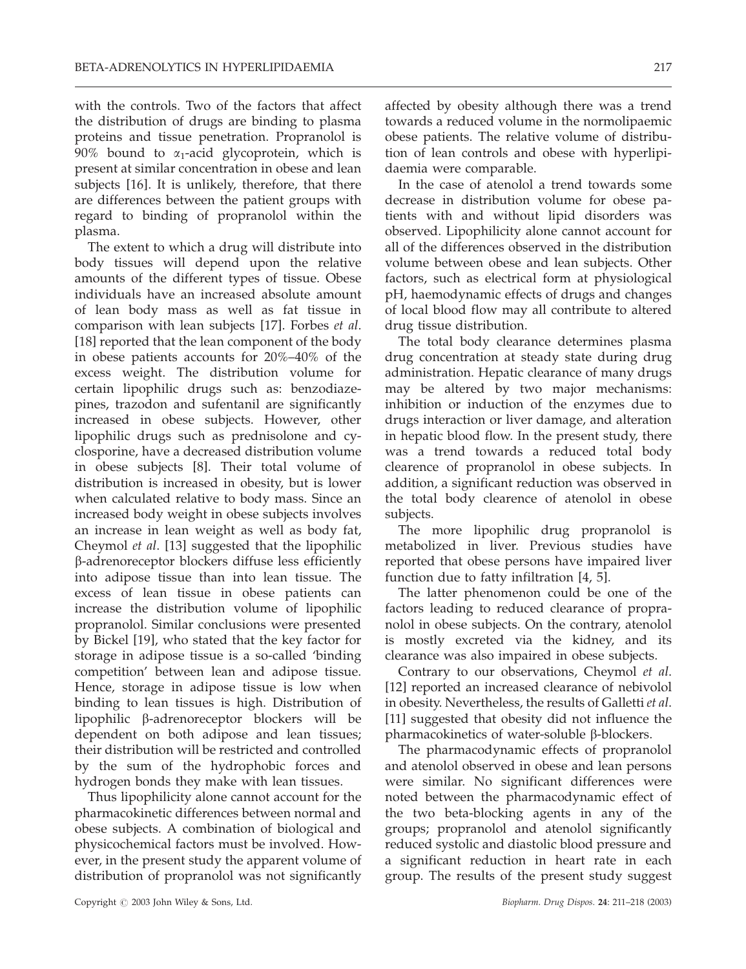with the controls. Two of the factors that affect the distribution of drugs are binding to plasma proteins and tissue penetration. Propranolol is 90% bound to  $\alpha_1$ -acid glycoprotein, which is present at similar concentration in obese and lean subjects [16]. It is unlikely, therefore, that there are differences between the patient groups with regard to binding of propranolol within the plasma.

The extent to which a drug will distribute into body tissues will depend upon the relative amounts of the different types of tissue. Obese individuals have an increased absolute amount of lean body mass as well as fat tissue in comparison with lean subjects [17]. Forbes et al. [18] reported that the lean component of the body in obese patients accounts for 20%–40% of the excess weight. The distribution volume for certain lipophilic drugs such as: benzodiazepines, trazodon and sufentanil are significantly increased in obese subjects. However, other lipophilic drugs such as prednisolone and cyclosporine, have a decreased distribution volume in obese subjects [8]. Their total volume of distribution is increased in obesity, but is lower when calculated relative to body mass. Since an increased body weight in obese subjects involves an increase in lean weight as well as body fat, Cheymol et al. [13] suggested that the lipophilic b-adrenoreceptor blockers diffuse less efficiently into adipose tissue than into lean tissue. The excess of lean tissue in obese patients can increase the distribution volume of lipophilic propranolol. Similar conclusions were presented by Bickel [19], who stated that the key factor for storage in adipose tissue is a so-called 'binding competition' between lean and adipose tissue. Hence, storage in adipose tissue is low when binding to lean tissues is high. Distribution of lipophilic  $\beta$ -adrenoreceptor blockers will be dependent on both adipose and lean tissues; their distribution will be restricted and controlled by the sum of the hydrophobic forces and hydrogen bonds they make with lean tissues.

Thus lipophilicity alone cannot account for the pharmacokinetic differences between normal and obese subjects. A combination of biological and physicochemical factors must be involved. However, in the present study the apparent volume of distribution of propranolol was not significantly affected by obesity although there was a trend towards a reduced volume in the normolipaemic obese patients. The relative volume of distribution of lean controls and obese with hyperlipidaemia were comparable.

In the case of atenolol a trend towards some decrease in distribution volume for obese patients with and without lipid disorders was observed. Lipophilicity alone cannot account for all of the differences observed in the distribution volume between obese and lean subjects. Other factors, such as electrical form at physiological pH, haemodynamic effects of drugs and changes of local blood flow may all contribute to altered drug tissue distribution.

The total body clearance determines plasma drug concentration at steady state during drug administration. Hepatic clearance of many drugs may be altered by two major mechanisms: inhibition or induction of the enzymes due to drugs interaction or liver damage, and alteration in hepatic blood flow. In the present study, there was a trend towards a reduced total body clearence of propranolol in obese subjects. In addition, a significant reduction was observed in the total body clearence of atenolol in obese subjects.

The more lipophilic drug propranolol is metabolized in liver. Previous studies have reported that obese persons have impaired liver function due to fatty infiltration [4, 5].

The latter phenomenon could be one of the factors leading to reduced clearance of propranolol in obese subjects. On the contrary, atenolol is mostly excreted via the kidney, and its clearance was also impaired in obese subjects.

Contrary to our observations, Cheymol et al. [12] reported an increased clearance of nebivolol in obesity. Nevertheless, the results of Galletti et al. [11] suggested that obesity did not influence the pharmacokinetics of water-soluble  $\beta$ -blockers.

The pharmacodynamic effects of propranolol and atenolol observed in obese and lean persons were similar. No significant differences were noted between the pharmacodynamic effect of the two beta-blocking agents in any of the groups; propranolol and atenolol significantly reduced systolic and diastolic blood pressure and a significant reduction in heart rate in each group. The results of the present study suggest